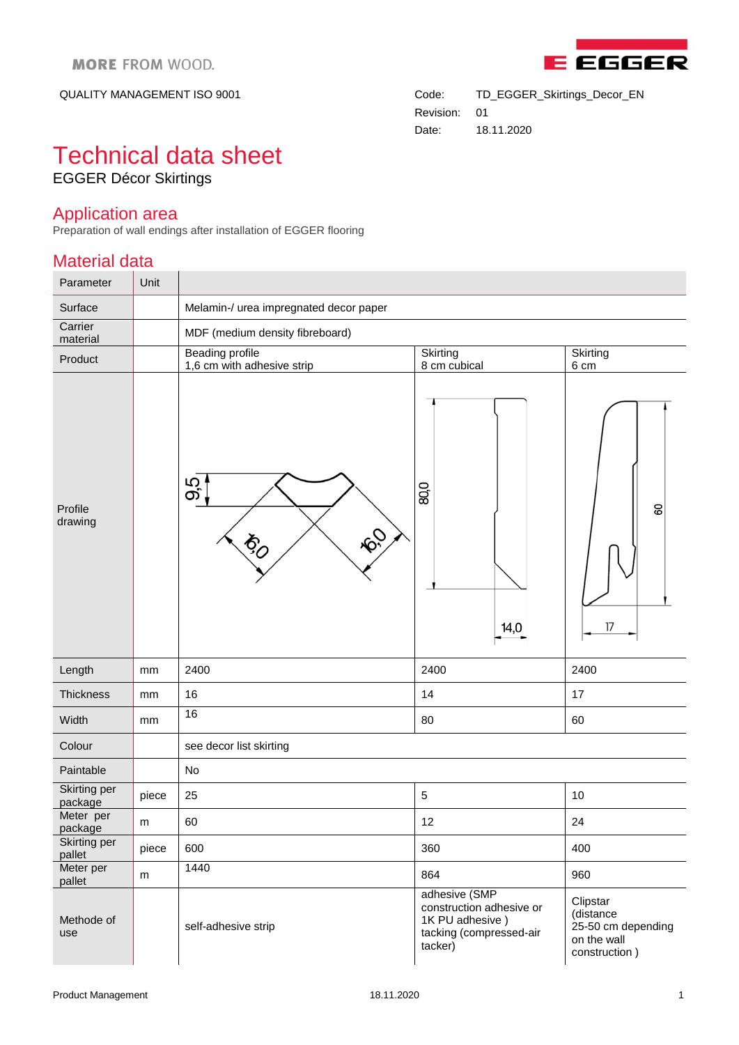

QUALITY MANAGEMENT ISO 9001 Code: TD\_EGGER\_Skirtings\_Decor\_EN Revision: 01 Date: 18.11.2020

## Technical data sheet EGGER Décor Skirtings

## Application area

Preparation of wall endings after installation of EGGER flooring

## Material data

| Parameter               | Unit  |                                                               |                                                                                                    |                                                                             |
|-------------------------|-------|---------------------------------------------------------------|----------------------------------------------------------------------------------------------------|-----------------------------------------------------------------------------|
| Surface                 |       | Melamin-/ urea impregnated decor paper                        |                                                                                                    |                                                                             |
| Carrier<br>material     |       | MDF (medium density fibreboard)                               |                                                                                                    |                                                                             |
| Product                 |       | <b>Beading profile</b><br>1,6 cm with adhesive strip          | Skirting<br>8 cm cubical                                                                           | Skirting<br>6 cm                                                            |
| Profile<br>drawing      |       | 95<br><b>PO</b><br>$\phi_{\!\scriptscriptstyle\!\mathcal{O}}$ | 80,0<br>14,0                                                                                       | 80<br>17                                                                    |
| Length                  | mm    | 2400                                                          | 2400                                                                                               | 2400                                                                        |
| Thickness               | mm    | 16                                                            | 14                                                                                                 | 17                                                                          |
| Width                   | mm    | 16                                                            | 80                                                                                                 | 60                                                                          |
| Colour                  |       | see decor list skirting                                       |                                                                                                    |                                                                             |
| Paintable               |       | No                                                            |                                                                                                    |                                                                             |
| Skirting per<br>package | piece | 25                                                            | $\sqrt{5}$                                                                                         | 10                                                                          |
| Meter per<br>package    | m     | 60                                                            | 12                                                                                                 | 24                                                                          |
| Skirting per<br>pallet  | piece | 600                                                           | 360                                                                                                | 400                                                                         |
| Meter per<br>pallet     | m     | 1440                                                          | 864                                                                                                | 960                                                                         |
| Methode of<br>use       |       | self-adhesive strip                                           | adhesive (SMP<br>construction adhesive or<br>1K PU adhesive)<br>tacking (compressed-air<br>tacker) | Clipstar<br>(distance<br>25-50 cm depending<br>on the wall<br>construction) |